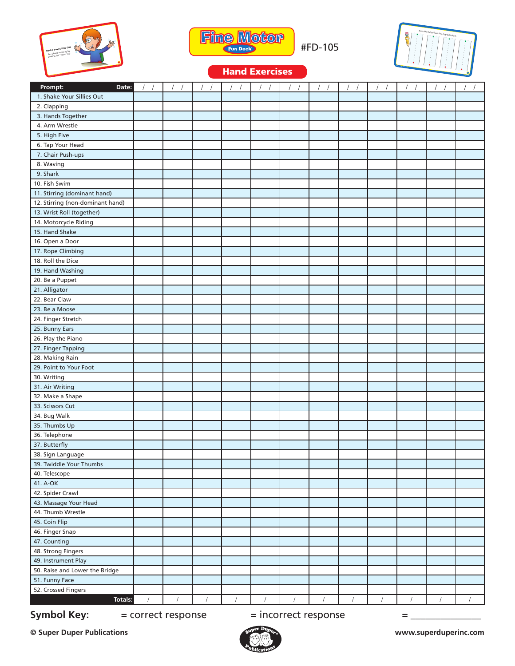



#FD-105



## Hand Exercises

| Prompt:<br>Date:                 |            |            |            |            |            |          |  | $\sqrt{2}$ |            |
|----------------------------------|------------|------------|------------|------------|------------|----------|--|------------|------------|
| 1. Shake Your Sillies Out        |            |            |            |            |            |          |  |            |            |
| 2. Clapping                      |            |            |            |            |            |          |  |            |            |
| 3. Hands Together                |            |            |            |            |            |          |  |            |            |
| 4. Arm Wrestle                   |            |            |            |            |            |          |  |            |            |
| 5. High Five                     |            |            |            |            |            |          |  |            |            |
| 6. Tap Your Head                 |            |            |            |            |            |          |  |            |            |
| 7. Chair Push-ups                |            |            |            |            |            |          |  |            |            |
| 8. Waving                        |            |            |            |            |            |          |  |            |            |
| 9. Shark                         |            |            |            |            |            |          |  |            |            |
| 10. Fish Swim                    |            |            |            |            |            |          |  |            |            |
| 11. Stirring (dominant hand)     |            |            |            |            |            |          |  |            |            |
| 12. Stirring (non-dominant hand) |            |            |            |            |            |          |  |            |            |
| 13. Wrist Roll (together)        |            |            |            |            |            |          |  |            |            |
| 14. Motorcycle Riding            |            |            |            |            |            |          |  |            |            |
| 15. Hand Shake                   |            |            |            |            |            |          |  |            |            |
| 16. Open a Door                  |            |            |            |            |            |          |  |            |            |
| 17. Rope Climbing                |            |            |            |            |            |          |  |            |            |
| 18. Roll the Dice                |            |            |            |            |            |          |  |            |            |
| 19. Hand Washing                 |            |            |            |            |            |          |  |            |            |
| 20. Be a Puppet                  |            |            |            |            |            |          |  |            |            |
| 21. Alligator                    |            |            |            |            |            |          |  |            |            |
| 22. Bear Claw                    |            |            |            |            |            |          |  |            |            |
| 23. Be a Moose                   |            |            |            |            |            |          |  |            |            |
| 24. Finger Stretch               |            |            |            |            |            |          |  |            |            |
| 25. Bunny Ears                   |            |            |            |            |            |          |  |            |            |
| 26. Play the Piano               |            |            |            |            |            |          |  |            |            |
| 27. Finger Tapping               |            |            |            |            |            |          |  |            |            |
| 28. Making Rain                  |            |            |            |            |            |          |  |            |            |
| 29. Point to Your Foot           |            |            |            |            |            |          |  |            |            |
| 30. Writing                      |            |            |            |            |            |          |  |            |            |
| 31. Air Writing                  |            |            |            |            |            |          |  |            |            |
| 32. Make a Shape                 |            |            |            |            |            |          |  |            |            |
| 33. Scissors Cut                 |            |            |            |            |            |          |  |            |            |
| 34. Bug Walk                     |            |            |            |            |            |          |  |            |            |
| 35. Thumbs Up                    |            |            |            |            |            |          |  |            |            |
| 36. Telephone                    |            |            |            |            |            |          |  |            |            |
| 37. Butterfly                    |            |            |            |            |            |          |  |            |            |
| 38. Sign Language                |            |            |            |            |            |          |  |            |            |
| 39. Twiddle Your Thumbs          |            |            |            |            |            |          |  |            |            |
| 40. Telescope                    |            |            |            |            |            |          |  |            |            |
| 41. A-OK                         |            |            |            |            |            |          |  |            |            |
| 42. Spider Crawl                 |            |            |            |            |            |          |  |            |            |
| 43. Massage Your Head            |            |            |            |            |            |          |  |            |            |
| 44. Thumb Wrestle                |            |            |            |            |            |          |  |            |            |
| 45. Coin Flip                    |            |            |            |            |            |          |  |            |            |
| 46. Finger Snap                  |            |            |            |            |            |          |  |            |            |
| 47. Counting                     |            |            |            |            |            |          |  |            |            |
| 48. Strong Fingers               |            |            |            |            |            |          |  |            |            |
| 49. Instrument Play              |            |            |            |            |            |          |  |            |            |
| 50. Raise and Lower the Bridge   |            |            |            |            |            |          |  |            |            |
| 51. Funny Face                   |            |            |            |            |            |          |  |            |            |
| 52. Crossed Fingers              |            |            |            |            |            |          |  |            |            |
| Totals:                          | $\sqrt{2}$ | $\sqrt{ }$ | $\sqrt{ }$ | $\sqrt{ }$ | $\sqrt{ }$ | $\prime$ |  |            | $\sqrt{ }$ |

## **Symbol Key:**  $=$  correct response  $=$  incorrect response  $=$

**© Super Duper Publications www.superduperinc.com**

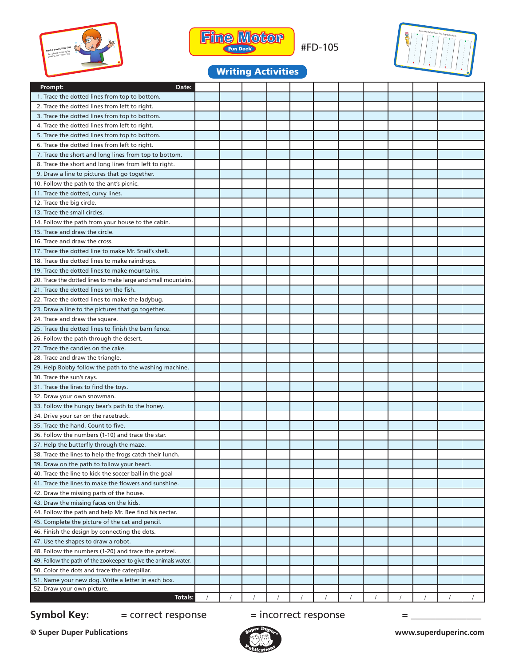



#FD-105



# Writing Activities

| Prompt:<br>Date:                                                |  |  |  |  |  |  |
|-----------------------------------------------------------------|--|--|--|--|--|--|
| 1. Trace the dotted lines from top to bottom.                   |  |  |  |  |  |  |
| 2. Trace the dotted lines from left to right.                   |  |  |  |  |  |  |
| 3. Trace the dotted lines from top to bottom.                   |  |  |  |  |  |  |
| 4. Trace the dotted lines from left to right.                   |  |  |  |  |  |  |
| 5. Trace the dotted lines from top to bottom.                   |  |  |  |  |  |  |
| 6. Trace the dotted lines from left to right.                   |  |  |  |  |  |  |
| 7. Trace the short and long lines from top to bottom.           |  |  |  |  |  |  |
| 8. Trace the short and long lines from left to right.           |  |  |  |  |  |  |
| 9. Draw a line to pictures that go together.                    |  |  |  |  |  |  |
| 10. Follow the path to the ant's picnic.                        |  |  |  |  |  |  |
| 11. Trace the dotted, curvy lines.                              |  |  |  |  |  |  |
| 12. Trace the big circle.                                       |  |  |  |  |  |  |
| 13. Trace the small circles.                                    |  |  |  |  |  |  |
| 14. Follow the path from your house to the cabin.               |  |  |  |  |  |  |
| 15. Trace and draw the circle.                                  |  |  |  |  |  |  |
| 16. Trace and draw the cross.                                   |  |  |  |  |  |  |
| 17. Trace the dotted line to make Mr. Snail's shell.            |  |  |  |  |  |  |
| 18. Trace the dotted lines to make raindrops.                   |  |  |  |  |  |  |
| 19. Trace the dotted lines to make mountains.                   |  |  |  |  |  |  |
| 20. Trace the dotted lines to make large and small mountains.   |  |  |  |  |  |  |
| 21. Trace the dotted lines on the fish.                         |  |  |  |  |  |  |
| 22. Trace the dotted lines to make the ladybug.                 |  |  |  |  |  |  |
|                                                                 |  |  |  |  |  |  |
| 23. Draw a line to the pictures that go together.               |  |  |  |  |  |  |
| 24. Trace and draw the square.                                  |  |  |  |  |  |  |
| 25. Trace the dotted lines to finish the barn fence.            |  |  |  |  |  |  |
| 26. Follow the path through the desert.                         |  |  |  |  |  |  |
| 27. Trace the candles on the cake.                              |  |  |  |  |  |  |
| 28. Trace and draw the triangle.                                |  |  |  |  |  |  |
| 29. Help Bobby follow the path to the washing machine.          |  |  |  |  |  |  |
| 30. Trace the sun's rays.                                       |  |  |  |  |  |  |
| 31. Trace the lines to find the toys.                           |  |  |  |  |  |  |
| 32. Draw your own snowman.                                      |  |  |  |  |  |  |
| 33. Follow the hungry bear's path to the honey.                 |  |  |  |  |  |  |
| 34. Drive your car on the racetrack.                            |  |  |  |  |  |  |
| 35. Trace the hand. Count to five.                              |  |  |  |  |  |  |
| 36. Follow the numbers (1-10) and trace the star.               |  |  |  |  |  |  |
| 37. Help the butterfly through the maze.                        |  |  |  |  |  |  |
| 38. Trace the lines to help the frogs catch their lunch.        |  |  |  |  |  |  |
| 39. Draw on the path to follow your heart.                      |  |  |  |  |  |  |
| 40. Trace the line to kick the soccer ball in the goal          |  |  |  |  |  |  |
| 41. Trace the lines to make the flowers and sunshine.           |  |  |  |  |  |  |
| 42. Draw the missing parts of the house.                        |  |  |  |  |  |  |
| 43. Draw the missing faces on the kids.                         |  |  |  |  |  |  |
| 44. Follow the path and help Mr. Bee find his nectar.           |  |  |  |  |  |  |
| 45. Complete the picture of the cat and pencil.                 |  |  |  |  |  |  |
| 46. Finish the design by connecting the dots.                   |  |  |  |  |  |  |
| 47. Use the shapes to draw a robot.                             |  |  |  |  |  |  |
| 48. Follow the numbers (1-20) and trace the pretzel.            |  |  |  |  |  |  |
| 49. Follow the path of the zookeeper to give the animals water. |  |  |  |  |  |  |
| 50. Color the dots and trace the caterpillar.                   |  |  |  |  |  |  |
| 51. Name your new dog. Write a letter in each box.              |  |  |  |  |  |  |
| 52. Draw your own picture.                                      |  |  |  |  |  |  |
| Totals:                                                         |  |  |  |  |  |  |

## **Symbol Key:**  $=$  correct response  $=$  incorrect response  $=$

**© Super Duper Publications www.superduperinc.com**